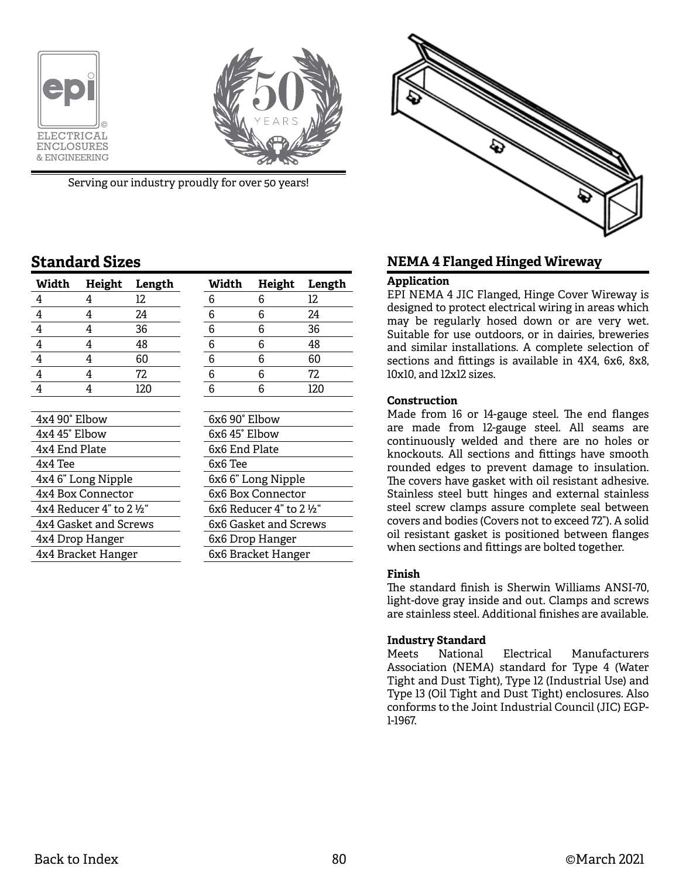



Serving our industry proudly for over 50 years!

# **Standard Sizes**

| Width                                 | Height | Length | Width                               | <b>Height</b> | Length |  |
|---------------------------------------|--------|--------|-------------------------------------|---------------|--------|--|
| 4                                     | 4      | 12     | 6                                   | 6             | 12     |  |
| 4                                     | 4      | 24     | 6                                   | 6             | 24     |  |
| 4                                     | 4      | 36     | 6                                   | 6             | 36     |  |
| 4                                     | 4      | 48     | 6                                   | 6             | 48     |  |
| 4                                     | 4      | 60     | 6                                   | 6             | 60     |  |
| 4                                     | 4      | 72     | 6                                   | 6             | 72     |  |
| 4                                     | 4      | 120    | 6                                   | 6             | 120    |  |
|                                       |        |        |                                     |               |        |  |
| 4x4 90° Elbow                         |        |        | 6x6 90° Elbow                       |               |        |  |
| 4x4 45° Elbow                         |        |        | 6x6 45° Elbow                       |               |        |  |
| 4x4 End Plate                         |        |        | 6x6 End Plate                       |               |        |  |
| 4x4 Tee                               |        |        | 6x6 Tee                             |               |        |  |
| 4x4 6" Long Nipple                    |        |        | 6x6 6" Long Nipple                  |               |        |  |
| 4x4 Box Connector                     |        |        | 6x6 Box Connector                   |               |        |  |
| $4x4$ Reducer 4" to 2 $\frac{1}{2}$ " |        |        | 6x6 Reducer $4"$ to 2 $\frac{1}{2}$ |               |        |  |
| 4x4 Gasket and Screws                 |        |        | 6x6 Gasket and Screws               |               |        |  |
| 4x4 Drop Hanger                       |        |        | 6x6 Drop Hanger                     |               |        |  |
| 4x4 Bracket Hanger                    |        |        | 6x6 Bracket Hanger                  |               |        |  |



## **NEMA 4 Flanged Hinged Wireway**

### **Application**

EPI NEMA 4 JIC Flanged, Hinge Cover Wireway is designed to protect electrical wiring in areas which may be regularly hosed down or are very wet. Suitable for use outdoors, or in dairies, breweries and similar installations. A complete selection of sections and fittings is available in 4X4, 6x6, 8x8, 10x10, and 12x12 sizes.

### **Construction**

Made from 16 or 14-gauge steel. The end flanges are made from 12-gauge steel. All seams are continuously welded and there are no holes or knockouts. All sections and fittings have smooth rounded edges to prevent damage to insulation. The covers have gasket with oil resistant adhesive. Stainless steel butt hinges and external stainless steel screw clamps assure complete seal between covers and bodies (Covers not to exceed 72"). A solid oil resistant gasket is positioned between flanges when sections and fittings are bolted together.

### **Finish**

The standard finish is Sherwin Williams ANSI-70, light-dove gray inside and out. Clamps and screws are stainless steel. Additional finishes are available.

### **Industry Standard**

Meets National Electrical Manufacturers Association (NEMA) standard for Type 4 (Water Tight and Dust Tight), Type 12 (Industrial Use) and Type 13 (Oil Tight and Dust Tight) enclosures. Also conforms to the Joint Industrial Council (JIC) EGP-1-1967.